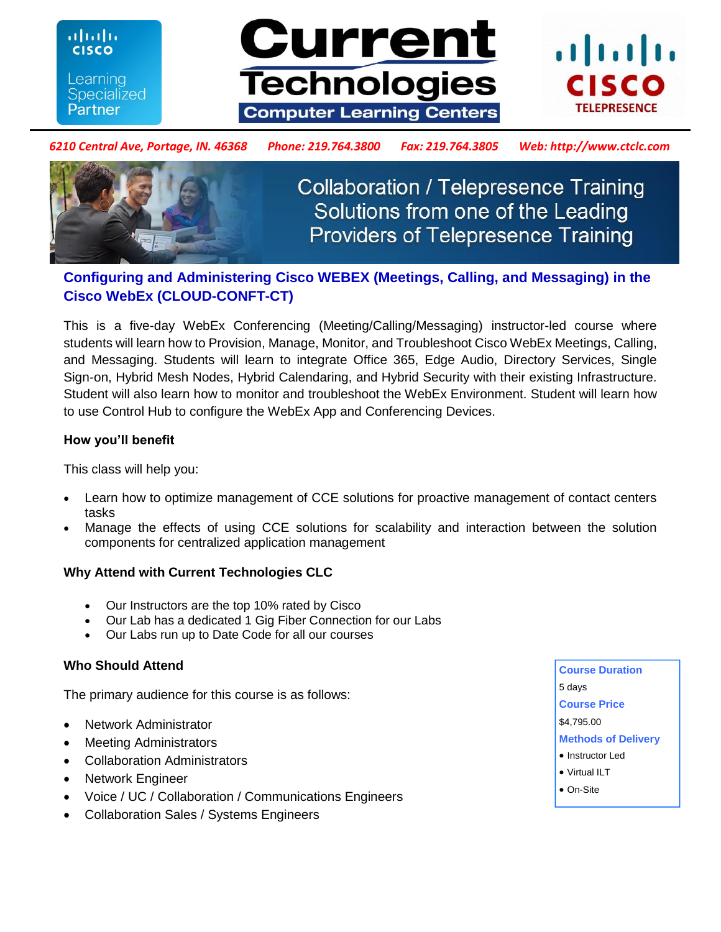**CISCO** Learning **Specialized Partner** 

ahah





#### *6210 Central Ave, Portage, IN. 46368 Phone: 219.764.3800 Fax: 219.764.3805 Web: http://www.ctclc.com*



**Collaboration / Telepresence Training** Solutions from one of the Leading **Providers of Telepresence Training** 

# **Configuring and Administering Cisco WEBEX (Meetings, Calling, and Messaging) in the Cisco WebEx (CLOUD-CONFT-CT)**

This is a five-day WebEx Conferencing (Meeting/Calling/Messaging) instructor-led course where students will learn how to Provision, Manage, Monitor, and Troubleshoot Cisco WebEx Meetings, Calling, and Messaging. Students will learn to integrate Office 365, Edge Audio, Directory Services, Single Sign-on, Hybrid Mesh Nodes, Hybrid Calendaring, and Hybrid Security with their existing Infrastructure. Student will also learn how to monitor and troubleshoot the WebEx Environment. Student will learn how to use Control Hub to configure the WebEx App and Conferencing Devices.

#### **How you'll benefit**

This class will help you:

- Learn how to optimize management of CCE solutions for proactive management of contact centers tasks
- Manage the effects of using CCE solutions for scalability and interaction between the solution components for centralized application management

### **Why Attend with Current Technologies CLC**

- Our Instructors are the top 10% rated by Cisco
- Our Lab has a dedicated 1 Gig Fiber Connection for our Labs
- Our Labs run up to Date Code for all our courses

#### **Who Should Attend**

The primary audience for this course is as follows:

- Network Administrator
- Meeting Administrators
- Collaboration Administrators
- Network Engineer
- Voice / UC / Collaboration / Communications Engineers
- Collaboration Sales / Systems Engineers
- **Course Duration**  5 days **Course Price**  \$4,795.00 **Methods of Delivery**  • Instructor Led
- Virtual ILT
- On-Site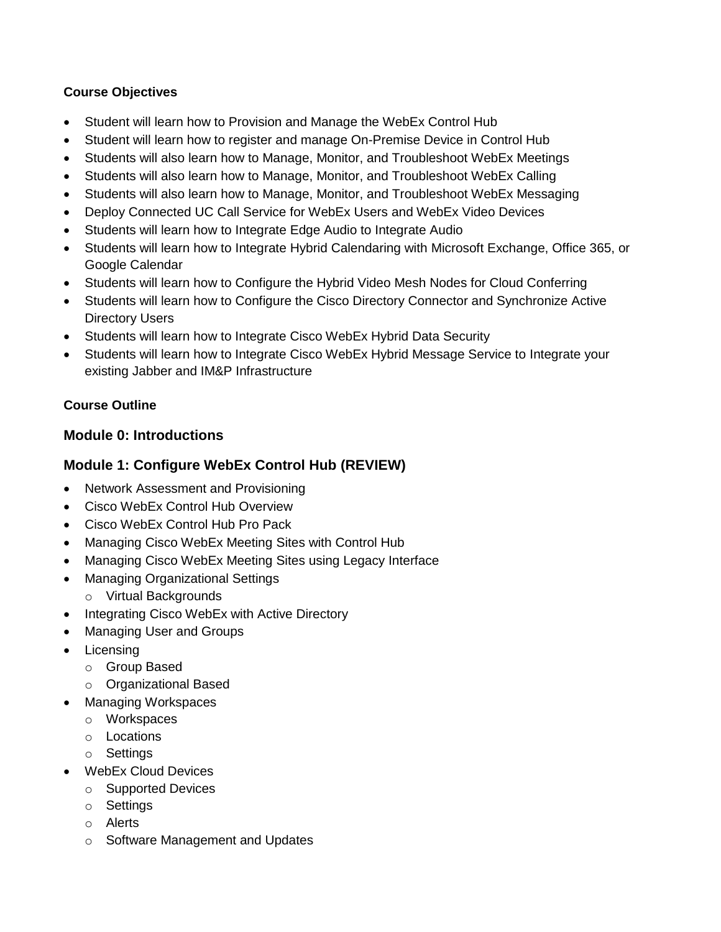### **Course Objectives**

- Student will learn how to Provision and Manage the WebEx Control Hub
- Student will learn how to register and manage On-Premise Device in Control Hub
- Students will also learn how to Manage, Monitor, and Troubleshoot WebEx Meetings
- Students will also learn how to Manage, Monitor, and Troubleshoot WebEx Calling
- Students will also learn how to Manage, Monitor, and Troubleshoot WebEx Messaging
- Deploy Connected UC Call Service for WebEx Users and WebEx Video Devices
- Students will learn how to Integrate Edge Audio to Integrate Audio
- Students will learn how to Integrate Hybrid Calendaring with Microsoft Exchange, Office 365, or Google Calendar
- Students will learn how to Configure the Hybrid Video Mesh Nodes for Cloud Conferring
- Students will learn how to Configure the Cisco Directory Connector and Synchronize Active Directory Users
- Students will learn how to Integrate Cisco WebEx Hybrid Data Security
- Students will learn how to Integrate Cisco WebEx Hybrid Message Service to Integrate your existing Jabber and IM&P Infrastructure

## **Course Outline**

## **Module 0: Introductions**

# **Module 1: Configure WebEx Control Hub (REVIEW)**

- Network Assessment and Provisioning
- Cisco WebEx Control Hub Overview
- Cisco WebEx Control Hub Pro Pack
- Managing Cisco WebEx Meeting Sites with Control Hub
- Managing Cisco WebEx Meeting Sites using Legacy Interface
- Managing Organizational Settings
	- o Virtual Backgrounds
- Integrating Cisco WebEx with Active Directory
- Managing User and Groups
- **Licensing** 
	- o Group Based
	- o Organizational Based
- Managing Workspaces
	- o Workspaces
	- o Locations
	- o Settings
- WebEx Cloud Devices
	- o Supported Devices
	- o Settings
	- o Alerts
	- o Software Management and Updates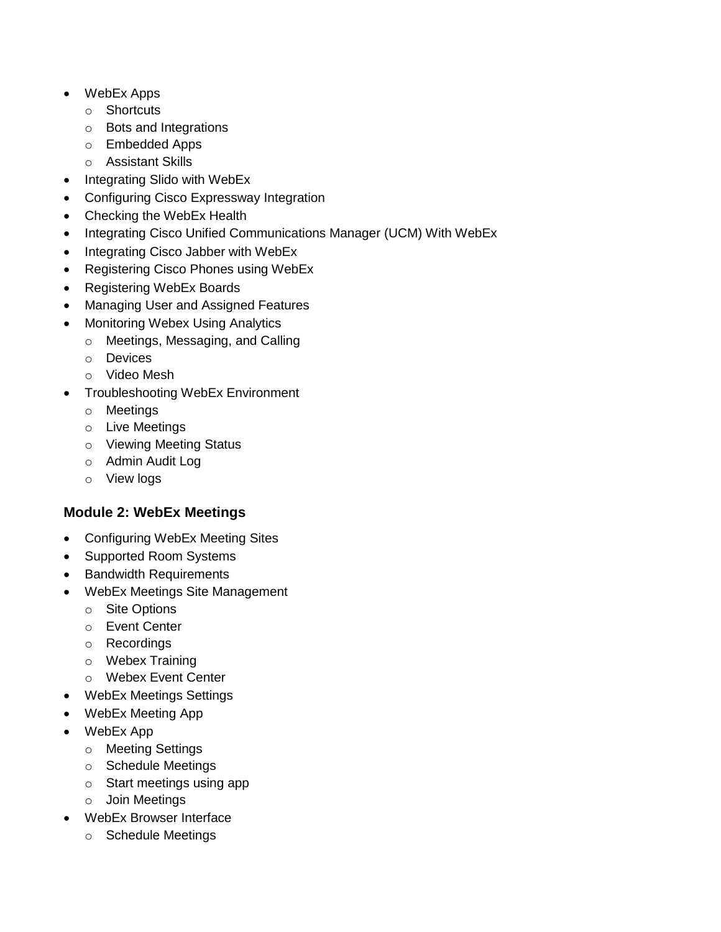- WebEx Apps
	- o Shortcuts
	- o Bots and Integrations
	- o Embedded Apps
	- o Assistant Skills
- Integrating Slido with WebEx
- Configuring Cisco Expressway Integration
- Checking the WebEx Health
- Integrating Cisco Unified Communications Manager (UCM) With WebEx
- Integrating Cisco Jabber with WebEx
- Registering Cisco Phones using WebEx
- Registering WebEx Boards
- Managing User and Assigned Features
- Monitoring Webex Using Analytics
	- o Meetings, Messaging, and Calling
	- o Devices
	- o Video Mesh
- Troubleshooting WebEx Environment
	- o Meetings
	- o Live Meetings
	- o Viewing Meeting Status
	- o Admin Audit Log
	- o View logs

## **Module 2: WebEx Meetings**

- Configuring WebEx Meeting Sites
- Supported Room Systems
- Bandwidth Requirements
- WebEx Meetings Site Management
	- o Site Options
	- o Event Center
	- o Recordings
	- o Webex Training
	- o Webex Event Center
- WebEx Meetings Settings
- WebEx Meeting App
- WebEx App
	- o Meeting Settings
	- o Schedule Meetings
	- o Start meetings using app
	- o Join Meetings
- WebEx Browser Interface
	- o Schedule Meetings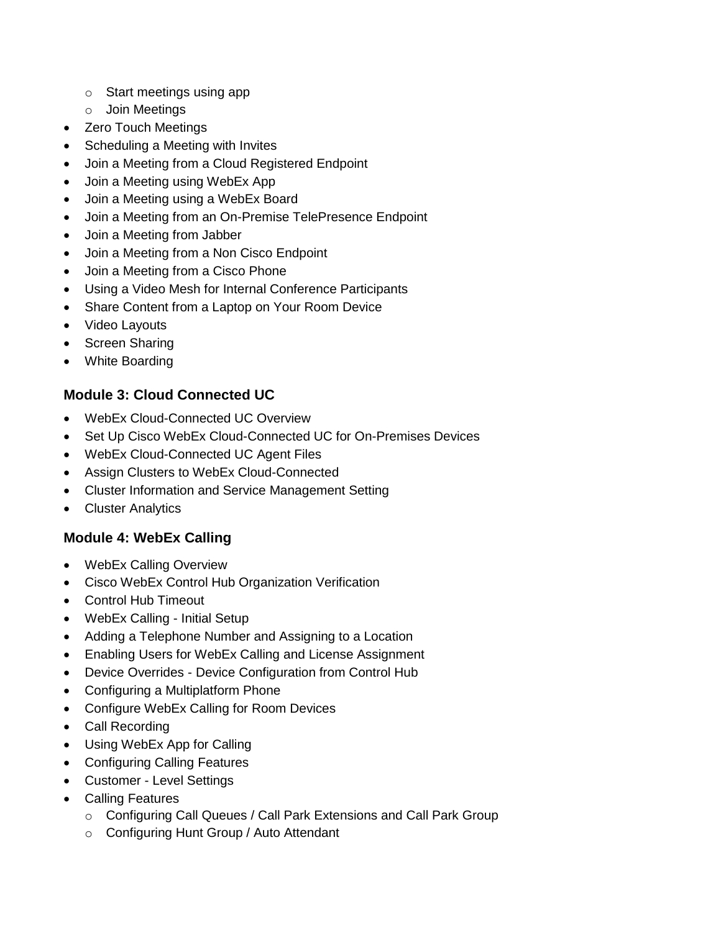- o Start meetings using app
- o Join Meetings
- **Zero Touch Meetings**
- Scheduling a Meeting with Invites
- Join a Meeting from a Cloud Registered Endpoint
- Join a Meeting using WebEx App
- Join a Meeting using a WebEx Board
- Join a Meeting from an On-Premise TelePresence Endpoint
- Join a Meeting from Jabber
- Join a Meeting from a Non Cisco Endpoint
- Join a Meeting from a Cisco Phone
- Using a Video Mesh for Internal Conference Participants
- Share Content from a Laptop on Your Room Device
- Video Layouts
- Screen Sharing
- White Boarding

# **Module 3: Cloud Connected UC**

- WebEx Cloud-Connected UC Overview
- Set Up Cisco WebEx Cloud-Connected UC for On-Premises Devices
- WebEx Cloud-Connected UC Agent Files
- Assign Clusters to WebEx Cloud-Connected
- Cluster Information and Service Management Setting
- Cluster Analytics

# **Module 4: WebEx Calling**

- WebEx Calling Overview
- Cisco WebEx Control Hub Organization Verification
- Control Hub Timeout
- WebEx Calling Initial Setup
- Adding a Telephone Number and Assigning to a Location
- Enabling Users for WebEx Calling and License Assignment
- Device Overrides Device Configuration from Control Hub
- Configuring a Multiplatform Phone
- Configure WebEx Calling for Room Devices
- Call Recording
- Using WebEx App for Calling
- Configuring Calling Features
- Customer Level Settings
- Calling Features
	- o Configuring Call Queues / Call Park Extensions and Call Park Group
	- o Configuring Hunt Group / Auto Attendant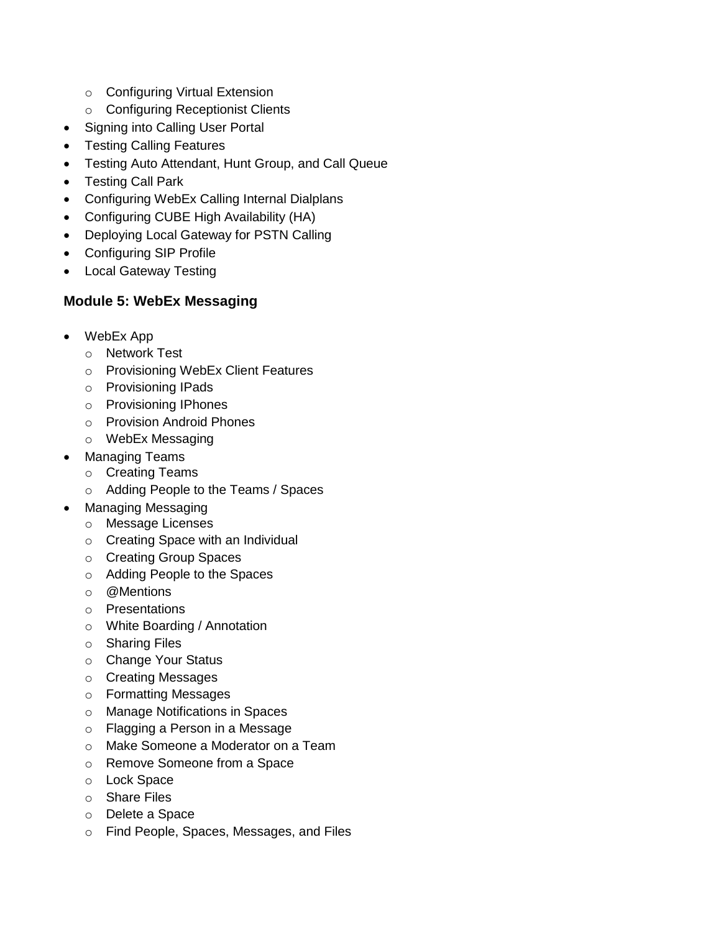- o Configuring Virtual Extension
- o Configuring Receptionist Clients
- Signing into Calling User Portal
- Testing Calling Features
- Testing Auto Attendant, Hunt Group, and Call Queue
- Testing Call Park
- Configuring WebEx Calling Internal Dialplans
- Configuring CUBE High Availability (HA)
- Deploying Local Gateway for PSTN Calling
- Configuring SIP Profile
- Local Gateway Testing

## **Module 5: WebEx Messaging**

- WebEx App
	- o Network Test
	- o Provisioning WebEx Client Features
	- o Provisioning IPads
	- o Provisioning IPhones
	- o Provision Android Phones
	- o WebEx Messaging
- Managing Teams
	- o Creating Teams
	- o Adding People to the Teams / Spaces
- Managing Messaging
	- o Message Licenses
	- o Creating Space with an Individual
	- o Creating Group Spaces
	- o Adding People to the Spaces
	- o @Mentions
	- o Presentations
	- o White Boarding / Annotation
	- o Sharing Files
	- o Change Your Status
	- o Creating Messages
	- o Formatting Messages
	- o Manage Notifications in Spaces
	- o Flagging a Person in a Message
	- o Make Someone a Moderator on a Team
	- o Remove Someone from a Space
	- o Lock Space
	- o Share Files
	- o Delete a Space
	- o Find People, Spaces, Messages, and Files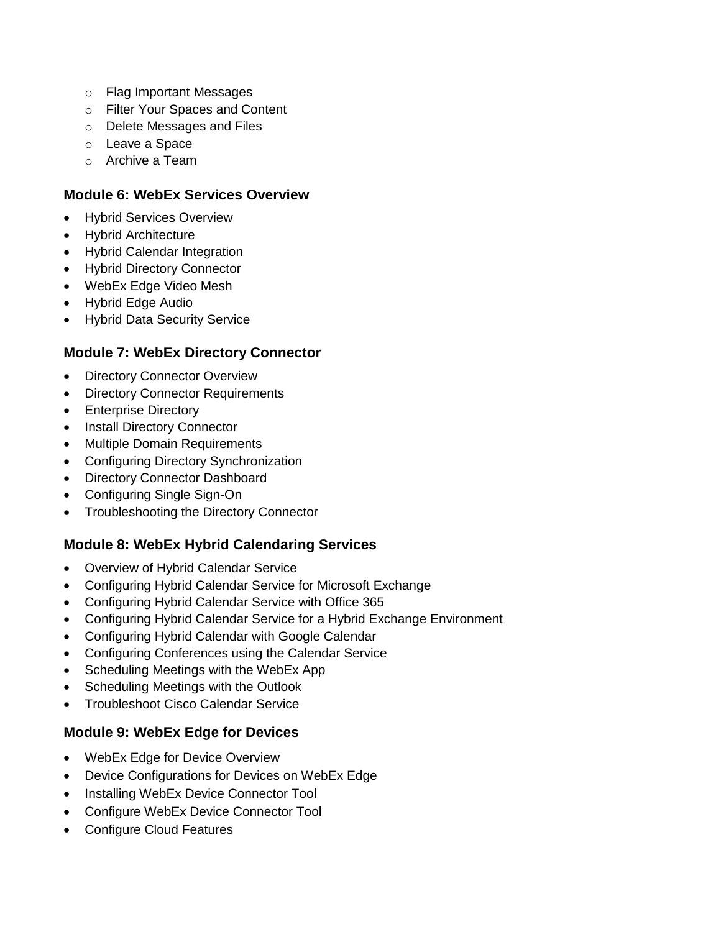- o Flag Important Messages
- o Filter Your Spaces and Content
- o Delete Messages and Files
- o Leave a Space
- o Archive a Team

### **Module 6: WebEx Services Overview**

- Hybrid Services Overview
- Hybrid Architecture
- Hybrid Calendar Integration
- Hybrid Directory Connector
- WebEx Edge Video Mesh
- Hybrid Edge Audio
- Hybrid Data Security Service

### **Module 7: WebEx Directory Connector**

- Directory Connector Overview
- Directory Connector Requirements
- Enterprise Directory
- Install Directory Connector
- Multiple Domain Requirements
- Configuring Directory Synchronization
- Directory Connector Dashboard
- Configuring Single Sign-On
- Troubleshooting the Directory Connector

### **Module 8: WebEx Hybrid Calendaring Services**

- Overview of Hybrid Calendar Service
- Configuring Hybrid Calendar Service for Microsoft Exchange
- Configuring Hybrid Calendar Service with Office 365
- Configuring Hybrid Calendar Service for a Hybrid Exchange Environment
- Configuring Hybrid Calendar with Google Calendar
- Configuring Conferences using the Calendar Service
- Scheduling Meetings with the WebEx App
- Scheduling Meetings with the Outlook
- Troubleshoot Cisco Calendar Service

### **Module 9: WebEx Edge for Devices**

- WebEx Edge for Device Overview
- Device Configurations for Devices on WebEx Edge
- Installing WebEx Device Connector Tool
- Configure WebEx Device Connector Tool
- Configure Cloud Features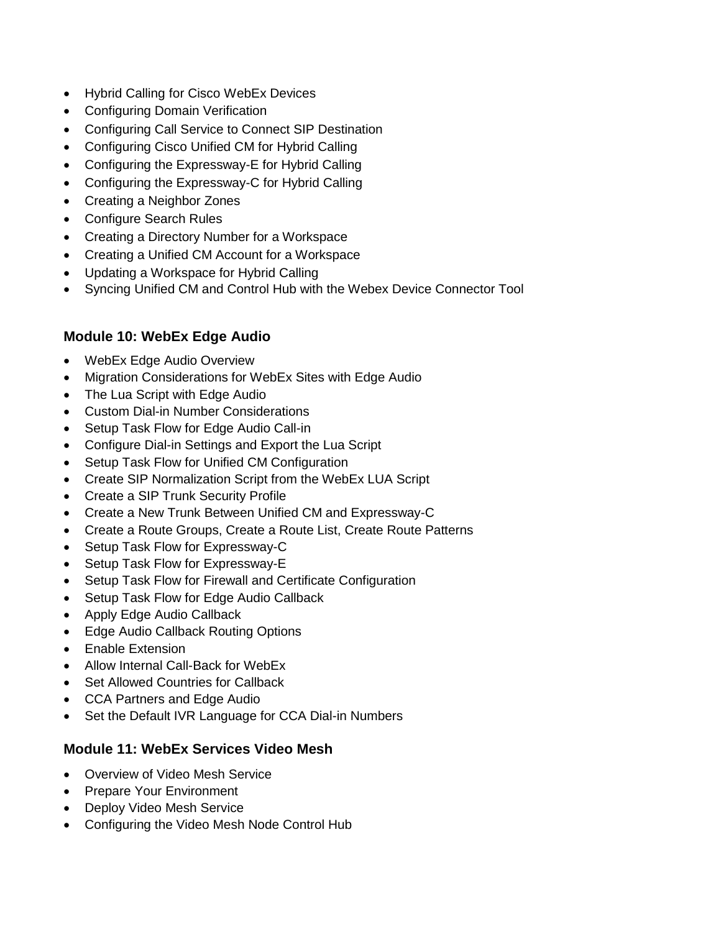- Hybrid Calling for Cisco WebEx Devices
- Configuring Domain Verification
- Configuring Call Service to Connect SIP Destination
- Configuring Cisco Unified CM for Hybrid Calling
- Configuring the Expressway-E for Hybrid Calling
- Configuring the Expressway-C for Hybrid Calling
- Creating a Neighbor Zones
- Configure Search Rules
- Creating a Directory Number for a Workspace
- Creating a Unified CM Account for a Workspace
- Updating a Workspace for Hybrid Calling
- Syncing Unified CM and Control Hub with the Webex Device Connector Tool

## **Module 10: WebEx Edge Audio**

- WebEx Edge Audio Overview
- Migration Considerations for WebEx Sites with Edge Audio
- The Lua Script with Edge Audio
- Custom Dial-in Number Considerations
- Setup Task Flow for Edge Audio Call-in
- Configure Dial-in Settings and Export the Lua Script
- Setup Task Flow for Unified CM Configuration
- Create SIP Normalization Script from the WebEx LUA Script
- Create a SIP Trunk Security Profile
- Create a New Trunk Between Unified CM and Expressway-C
- Create a Route Groups, Create a Route List, Create Route Patterns
- Setup Task Flow for Expressway-C
- Setup Task Flow for Expressway-E
- Setup Task Flow for Firewall and Certificate Configuration
- Setup Task Flow for Edge Audio Callback
- Apply Edge Audio Callback
- Edge Audio Callback Routing Options
- Enable Extension
- Allow Internal Call-Back for WebEx
- Set Allowed Countries for Callback
- CCA Partners and Edge Audio
- Set the Default IVR Language for CCA Dial-in Numbers

### **Module 11: WebEx Services Video Mesh**

- Overview of Video Mesh Service
- Prepare Your Environment
- Deploy Video Mesh Service
- Configuring the Video Mesh Node Control Hub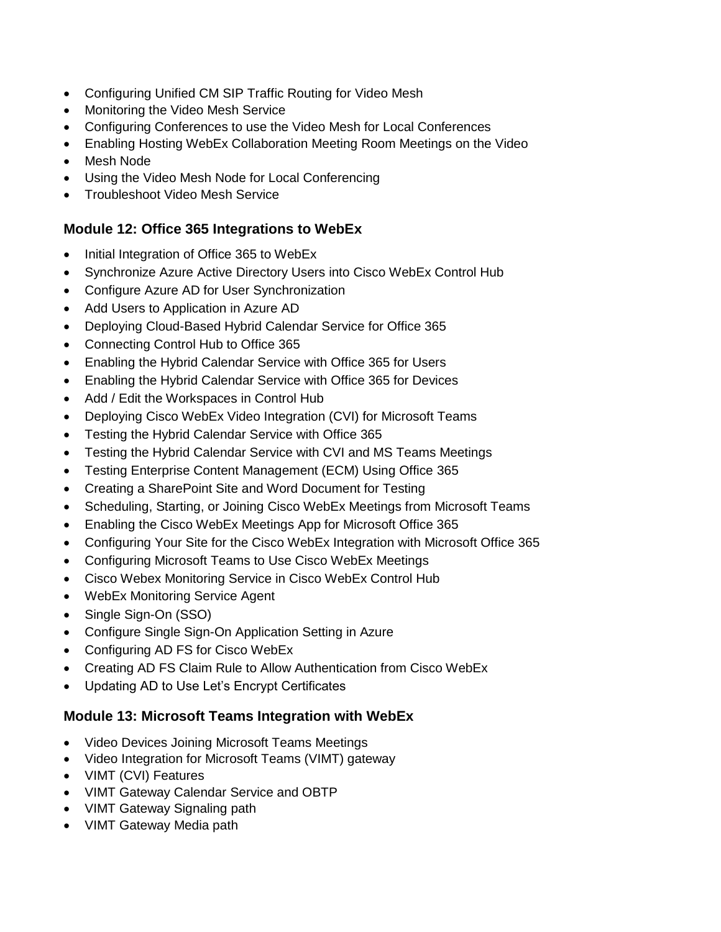- Configuring Unified CM SIP Traffic Routing for Video Mesh
- **•** Monitoring the Video Mesh Service
- Configuring Conferences to use the Video Mesh for Local Conferences
- Enabling Hosting WebEx Collaboration Meeting Room Meetings on the Video
- Mesh Node
- Using the Video Mesh Node for Local Conferencing
- Troubleshoot Video Mesh Service

### **Module 12: Office 365 Integrations to WebEx**

- Initial Integration of Office 365 to WebEx
- Synchronize Azure Active Directory Users into Cisco WebEx Control Hub
- Configure Azure AD for User Synchronization
- Add Users to Application in Azure AD
- Deploying Cloud-Based Hybrid Calendar Service for Office 365
- Connecting Control Hub to Office 365
- Enabling the Hybrid Calendar Service with Office 365 for Users
- Enabling the Hybrid Calendar Service with Office 365 for Devices
- Add / Edit the Workspaces in Control Hub
- Deploying Cisco WebEx Video Integration (CVI) for Microsoft Teams
- Testing the Hybrid Calendar Service with Office 365
- Testing the Hybrid Calendar Service with CVI and MS Teams Meetings
- Testing Enterprise Content Management (ECM) Using Office 365
- Creating a SharePoint Site and Word Document for Testing
- Scheduling, Starting, or Joining Cisco WebEx Meetings from Microsoft Teams
- Enabling the Cisco WebEx Meetings App for Microsoft Office 365
- Configuring Your Site for the Cisco WebEx Integration with Microsoft Office 365
- Configuring Microsoft Teams to Use Cisco WebEx Meetings
- Cisco Webex Monitoring Service in Cisco WebEx Control Hub
- WebEx Monitoring Service Agent
- Single Sign-On (SSO)
- Configure Single Sign-On Application Setting in Azure
- Configuring AD FS for Cisco WebEx
- Creating AD FS Claim Rule to Allow Authentication from Cisco WebEx
- Updating AD to Use Let's Encrypt Certificates

## **Module 13: Microsoft Teams Integration with WebEx**

- Video Devices Joining Microsoft Teams Meetings
- Video Integration for Microsoft Teams (VIMT) gateway
- VIMT (CVI) Features
- VIMT Gateway Calendar Service and OBTP
- VIMT Gateway Signaling path
- VIMT Gateway Media path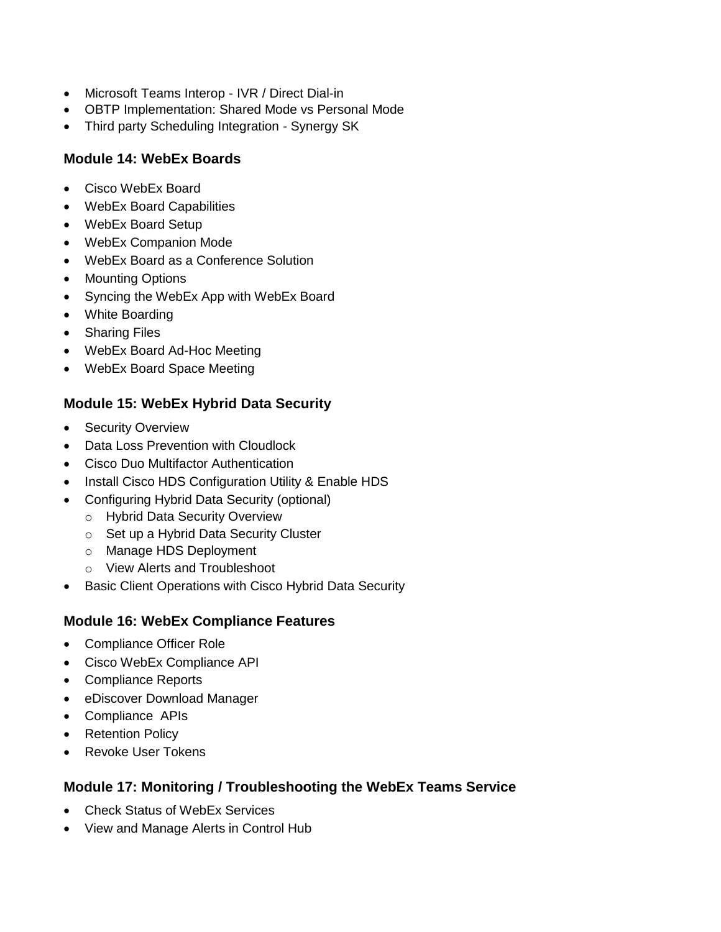- Microsoft Teams Interop IVR / Direct Dial-in
- OBTP Implementation: Shared Mode vs Personal Mode
- Third party Scheduling Integration Synergy SK

# **Module 14: WebEx Boards**

- Cisco WebEx Board
- WebEx Board Capabilities
- WebEx Board Setup
- WebEx Companion Mode
- WebEx Board as a Conference Solution
- Mounting Options
- Syncing the WebEx App with WebEx Board
- White Boarding
- Sharing Files
- WebEx Board Ad-Hoc Meeting
- WebEx Board Space Meeting

# **Module 15: WebEx Hybrid Data Security**

- Security Overview
- Data Loss Prevention with Cloudlock
- Cisco Duo Multifactor Authentication
- Install Cisco HDS Configuration Utility & Enable HDS
- Configuring Hybrid Data Security (optional)
	- o Hybrid Data Security Overview
	- o Set up a Hybrid Data Security Cluster
	- o Manage HDS Deployment
	- o View Alerts and Troubleshoot
- Basic Client Operations with Cisco Hybrid Data Security

# **Module 16: WebEx Compliance Features**

- Compliance Officer Role
- Cisco WebEx Compliance API
- Compliance Reports
- eDiscover Download Manager
- Compliance APIs
- Retention Policy
- Revoke User Tokens

# **Module 17: Monitoring / Troubleshooting the WebEx Teams Service**

- Check Status of WebEx Services
- View and Manage Alerts in Control Hub